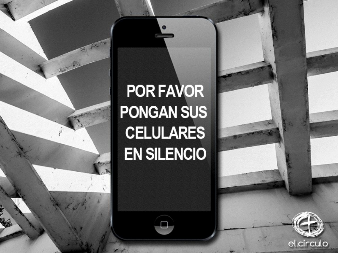#### **POR FAVOR PONGAN SUS CELULARES EN SILENCIO**

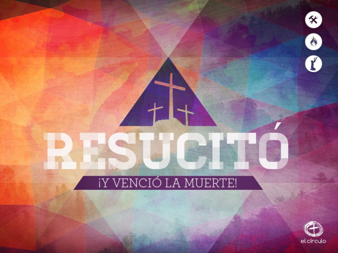

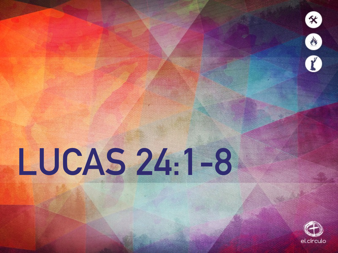

# LUCAS 24:1-8

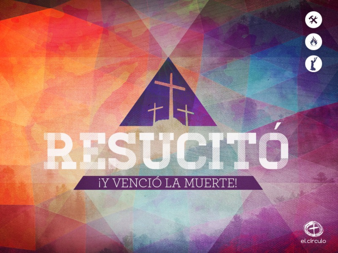

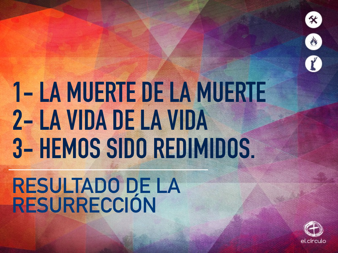

## **1- LA MUERTE DE LA MUERTE 2- LA VIDA DE LA VIDA 3- HEMOS SIDO REDIMIDOS.**

#### **RESULTADO DE LA RESURRECCIÓN**

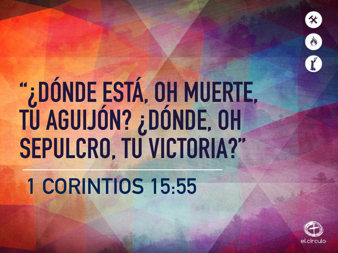

# **"¿DÓNDE ESTÁ, OH MUERTE, TU AGUIJÓN? ¿DÓNDE, OH SEPULCRO, TU VICTORIA?"**

### **1 CORINTIOS 15:55**

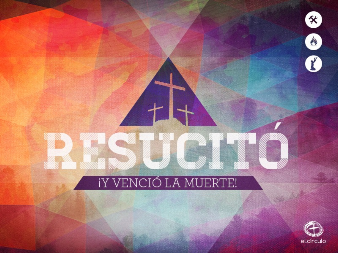

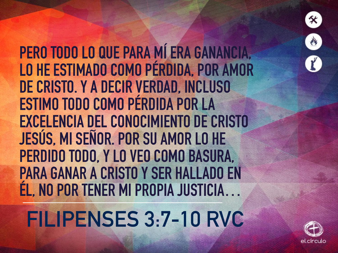**PERO TODO LO QUE PARA MÍ ERA GANANCIA, LO HE ESTIMADO COMO PÉRDIDA, POR AMOR DE CRISTO. Y A DECIR VERDAD, INCLUSO ESTIMO TODO COMO PÉRDIDA POR LA EXCELENCIA DEL CONOCIMIENTO DE CRISTO JESÚS, MI SEÑOR. POR SU AMOR LO HE PERDIDO TODO, Y LO VEO COMO BASURA, PARA GANAR A CRISTO Y SER HALLADO EN ÉL, NO POR TENER MI PROPIA JUSTICIA…**

**FILIPENSES 3:7-10 RVC**



父

 $\mathbf{r}$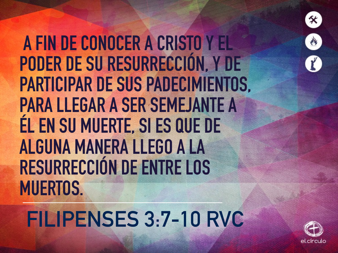

 **A FIN DE CONOCER A CRISTO Y EL PODER DE SU RESURRECCIÓN, Y DE PARTICIPAR DE SUS PADECIMIENTOS, PARA LLEGAR A SER SEMEJANTE A ÉL EN SU MUERTE, SI ES QUE DE ALGUNA MANERA LLEGO A LA RESURRECCIÓN DE ENTRE LOS MUERTOS.**

**FILIPENSES 3:7-10 RVC**

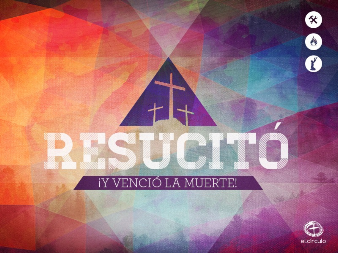

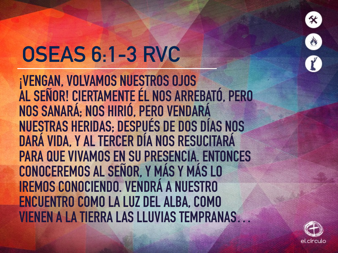

### **OSEAS 6:1-3 RVC**

**¡VENGAN, VOLVAMOS NUESTROS OJOS** AL SEÑOR! CIERTAMENTE ÉL NOS ARREBATÓ, PERO NOS SANARÁ; NOS HIRIÓ, PERO VENDARÁ **NUESTRAS HERIDAS: DESPUÉS DE DOS DÍAS NOS** DARÁ VIDA, Y AL TERCER DÍA NOS RESUCITARÁ **PARA QUE VIVAMOS EN SU PRESENCIA. ENTONCES** CONOCEREMOS AL SEÑOR, Y MÁS Y MÁS LO **IREMOS CONOCIENDO. VENDRÁ A NUESTRO ENCUENTRO COMO LA LUZ DEL ALBA, COMO VIENEN A LA TIERRA LAS LLUVIAS TEMPRANAS...**